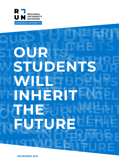

# **OUR STUDENTS WILL INHERIT THE FUTURE**

**NOVEMBER 2021**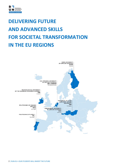

# **DELIVERING FUTURE AND ADVANCED SKILLS FOR SOCIETAL TRANSFORMATION IN THE EU REGIONS**

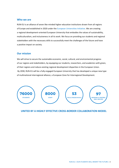#### **Who we are**

RUN-EU is an alliance of seven like-minded higher education institutions drawn from all regions of Europe and established in 2020 under the European Universities Initiative. We are creating a regional development-oriented European University that embodies the values of sustainability, multiculturalism, and inclusiveness in all its work. We focus on providing our students and regional stakeholders with the necessary skills to successfully meet the challenges of the future and have a positive impact on society.

## **Our mission**

We will strive to secure the sustainable economic, social, cultural, and environmental progress of our regions and stakeholders, by equipping our students, researchers, and academics with green, of their regions and reduce existing regional development disparities in the European Union. By 2030, RUN-EU will be a fully engaged European University that has developed a unique new type of multinational interregional alliance, a European Zone for Interregional Development.



## **UNITED BY A HIGHLY EFFECTIVE CROSS-BORDER COLLABORATION MODEL**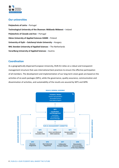

# **Our universities**

**Polytechnic of Leiria** • Portugal **Technological University of the Shannon: Midlands Midwest** • Ireland **Polytechnic of Cávado and Ave** • Portugal **Häme University of Applied Sciences HAMK** • Finland **University of Győr – Széchenyi István University** • Hungary **NHL Stenden University of Applied Sciences** • The Netherlands **Vorarlberg University of Applied Sciences** • Austria

## **Coordination**

As a geographically dispersed European University, RUN-EU relies on a robust and transparent management structure that uses international best practices to ensure the effective participation of all members. The development and implementation of our long-term vision goals are based on the activities of six work packages (WPs), while the governance, quality assurance, communication and dissemination of activities, and sustainability of the results are assured by WP1 and WP8.

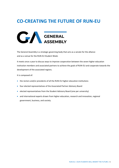# **CO-CREATING THE FUTURE OF RUN-EU**



The General Assembly is a strategic governing body that acts as a senate for the alliance and as a venue for the RUN-EU Student Week.

It meets once a year to discuss ways to improve cooperation between the seven higher education institution members and associated partners to achieve the goals of RUN-EU and cooperate towards the development of the associated regions.

It is composed of:

- the rectors and/or presidents of all the RUN-EU higher education institutions
- four elected representatives of the Associated Partner Advisory Board
- elected representatives from the Student Advisory Board (one per university)
- and international experts drawn from higher education, research and innovation, regional government, business, and society.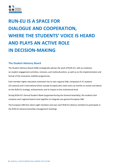# **RUN-EU IS A SPACE FOR DIALOGUE AND COOPERATION, WHERE THE STUDENTS' VOICE IS HEARD AND PLAYS AN ACTIVE ROLE IN DECISION-MAKING**

# **The Student Advisory Board**

The Student Advisory Board (SAB) strategically advises the work of RUN-EU, with an emphasis on student engagement activities, inclusion, and multiculturalism, as well as on the implementation and format of the innovative mobility programmes.

Each member higher education institution has its own regional SAB, composed of 15 students (10 national and 5 international [from outside Europe]) who meet every six months to review and advise on the RUN-EU strategy, achievements and its impact at the institutional level.

During RUN-EU's Annual Student Week (organised during the General Assembly), the students that compose each regional board come together to integrate one general European SAB.

The European SAB then elects eight members (one per each RUN-EU alliance member) to participate in the RUN-EU General Assembly management meetings.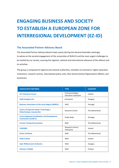# **ENGAGING BUSINESS AND SOCIETY TO ESTABLISH A EUROPEAN ZONE FOR INTERREGIONAL DEVELOPMENT (EZ-ID)**

## **The Associated Partner Advisory Board**

The Associated Partner Advisory Board meets yearly (during the General Assembly meetings) to advise on the societal engagement of the universities of RUN-EU and the most urgent challenges to be tackled by our society, assuring the regional, national and international relevance of the alliance and its activities.

The group is composed of regional and national authorities, chambers of commerce, higher education institutions, research centres, international policy units, Non-Governmental Organisations (NGOs), and businesses.

| <b>ASSOCIATED PARTNERS</b>                                                        | <b>TYPE</b>                                       | <b>COUNTRY</b>  |
|-----------------------------------------------------------------------------------|---------------------------------------------------|-----------------|
| <b>AIT Enterprise Forum</b>                                                       | Enterprise/Higher<br><b>Education Institution</b> | Ireland         |
| <b>AUDI Hungária Zrt.</b>                                                         | Enterprise                                        | Hungary         |
| <b>Business Association of the Leiria Region (NERLEI)</b>                         | <b>NGO</b>                                        | Portugal        |
| <b>Centre of Expertise Water Technology /</b><br><b>WaterCampus Leeuwarden</b>    | <b>Research Centre</b>                            | The Netherlands |
| <b>Centro Regional Coordination and Development</b><br><b>Commission (CCDR-C)</b> | Public Body                                       | Portugal        |
| <b>Circular Friesland Association</b>                                             | <b>NGO</b>                                        | The Netherlands |
| <b>CONFIRM</b>                                                                    | Research Centre/<br>Enterprise                    | Ireland         |
| <b>Dutch TechZone</b>                                                             | <b>NGO</b>                                        | The Netherlands |
| <b>Fáilte Ireland</b>                                                             | <b>NGO</b>                                        | Ireland         |
| Győr Philharmonic Orchestra                                                       | NGO                                               | Hungary         |
| Hämeen Yrittäjät                                                                  | <b>NGO</b>                                        | Finland         |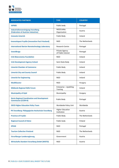

| <b>ASSOCIATED PARTNERS</b>                                                        | <b>TYPE</b>                            | <b>COUNTRY</b>  |
|-----------------------------------------------------------------------------------|----------------------------------------|-----------------|
| <b>IAPMEI</b>                                                                     | Public body                            | Portugal        |
| <b>Industriellenvereinigung Vorarlberg</b><br>(Federation of Austrian Industries) | NGO/Lobby<br>Organisation              | Austria         |
| <b>Innovate Limerick</b>                                                          | Public Body                            | Ireland         |
| <b>Innovatiepact Fryslân (Innovation Pact Friesland)</b>                          | <b>NGO</b>                             | The Netherlands |
| <b>International Iberian Nanotechnology Laboratory</b>                            | <b>Research Centre</b>                 | Portugal        |
| <b>InvestBraga</b>                                                                | Private Agency<br>of Public Interest   | Portugal        |
| <b>Irish Bioeconomy Foundation</b>                                                | <b>NGO</b>                             | Ireland         |
| <b>Irish Development Agency Ireland</b>                                           | Semi-State Body                        | Ireland         |
| <b>Limerick Chamber of Commerce</b>                                               | Public Body                            | Ireland         |
| <b>Limerick City and County Council</b>                                           | Public Body                            | Ireland         |
| <b>Limerick for Engineering</b>                                                   | <b>NGO</b>                             | Ireland         |
| <b>MediKlaszter</b>                                                               | <b>NGO</b>                             | Hungary         |
| <b>Midlands Regional Skills Forum</b>                                             | Enterprise - Upskilling<br>Training    | Ireland         |
| <b>Municipality of Győr</b>                                                       | Municipality                           | Hungary         |
| <b>Norte Regional Coordination and Development</b><br><b>Commission (CCDR-N)</b>  | Public Body                            | Portugal        |
| <b>OECD Higher Education Policy Team</b>                                          | Worldwide Policy Unit                  | Worldwide       |
| PH Vorarlberg: Pädagogische Hochschule Vorarlberg                                 | <b>Higher Education</b><br>Institution | Austria         |
| <b>Province of Fryslân</b>                                                        | Public Body                            | The Netherlands |
| <b>Regional Council of Häme</b>                                                   | Public body                            | Finland         |
| <b>SPEAK</b>                                                                      | <b>NGO</b>                             | Portugal        |
| <b>Tourism Collective Friesland</b>                                               | <b>NGO</b>                             | The Netherlands |
| <b>Vorarlberger Landesregierung</b>                                               | Government                             | Austria         |
| <b>Wirtschafts-Standort Vorarlberg GmbH (WISTO)</b>                               | <b>NGO</b>                             | Austria         |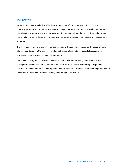# **Our journey**

When RUN-EU was launched, in 2020, it promised to transform higher education in Europe, create opportunity, and enrich society. One year has passed since then and RUN-EU has established the pillars for sustainable and long-term cooperation between all member universities and partners in the collaborative co-design and co-creation of pedagogical, research, innovation, and engagement activities.

The main achievements of this first year are on track with the goals proposed for the establishment of a true pan-European University focused on delivering future and advanced skills programmes and becoming an engine of regional development.

In the years ahead, the alliance aims to share best practices and positively influence the future strategies of each of its seven higher education institutions, as well as wider European agendas, including the development of the European Education Area, the European Commission Higher Education Policy and the renewed European Union agenda for higher education.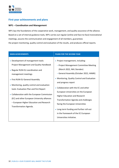

# **First year achievements and plans**

### **WP1 – Coordination and Management**

WP1 lays the foundations of the cooperative work, management, and quality assurance of the alliance. Based on a set of internal guidance tools, WP1 carries out regular (online and face-to-face) transnational meetings, assures the communication and engagement of all members, guarantees the project monitoring, quality control and evaluation of the results, and produces official reports.

| <b>MAIN ACHIEVEMENTS</b>                                                                                                                                                                                                                                                                                                                                                                                                                      | <b>PLANS FOR THE SECOND YEAR</b>                                                                                                                                                                                                                                                                                                                                                                                                                                                                                                               |
|-----------------------------------------------------------------------------------------------------------------------------------------------------------------------------------------------------------------------------------------------------------------------------------------------------------------------------------------------------------------------------------------------------------------------------------------------|------------------------------------------------------------------------------------------------------------------------------------------------------------------------------------------------------------------------------------------------------------------------------------------------------------------------------------------------------------------------------------------------------------------------------------------------------------------------------------------------------------------------------------------------|
| • Development of management tools:<br>Project Management and Quality Handbook<br>• Regular RUN-EU coordination and<br>management meetings<br>• First RUN-EU General Assembly<br>• Monitoring, quality control and evaluation<br>tools: Evaluation Plan and first Report<br>• Collaboration with the European Commission<br>(EC) and other European University alliances<br>- European Higher Education and Research<br>Transformation Agenda. | • Project management, including:<br>- Project Management Committee Meeting<br>(March 2022, NHL Stenden)<br>- General Assembly (October 2022, HAMK)<br>• Monitoring, Quality Control and Evaluation<br>and progress report<br>• Collaboration with the EC and other<br>European Universities on the European<br>Higher Education and Research<br><b>Transformation Agenda and challenges</b><br>facing the European Universities<br>• Long-term funding and further roll-out<br>in the framework of the EC European<br>Universities Initiative. |
|                                                                                                                                                                                                                                                                                                                                                                                                                                               |                                                                                                                                                                                                                                                                                                                                                                                                                                                                                                                                                |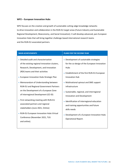#### **WP2 – European Innovation Hubs**

WP2 focuses on the creation and growth of sustainable cutting-edge knowledge networks to drive innovation and collaboration in the RUN-EU target areas (Future Industry and Sustainable Regional Development, Bioeconomy, and Social Innovation). It will develop advanced, pan-European Innovation Hubs that will bring together challenge-based international research teams and the RUN-EU associated partners.

| <b>MAIN ACHIEVEMENTS</b>                                                                                                                                                                                                                                                                                                                                                                                                                                                                                                                                                                               | <b>PLANS FOR THE SECOND YEAR</b>                                                                                                                                                                                                                                                                                                                                                                                                                                                                       |
|--------------------------------------------------------------------------------------------------------------------------------------------------------------------------------------------------------------------------------------------------------------------------------------------------------------------------------------------------------------------------------------------------------------------------------------------------------------------------------------------------------------------------------------------------------------------------------------------------------|--------------------------------------------------------------------------------------------------------------------------------------------------------------------------------------------------------------------------------------------------------------------------------------------------------------------------------------------------------------------------------------------------------------------------------------------------------------------------------------------------------|
| • Detailed audit and characterisation<br>of the existing regional innovation clusters,<br>Research, Development, and Innovation<br>(RDI) teams and their activities<br>• European Innovation Hubs Strategic Plan<br>• Memorandum of Understanding between<br>RUN-EU and Regional Government Partners<br>on the Development of a European Zone<br>of Interregional Development (EZ-ID)<br>• First networking meeting with RUN-EU<br>associated partners and regional<br>stakeholders (June 2021, Online)<br>• RUN-EU European Innovation Hubs Virtual<br>Conference (November 2021, TUS<br>and online). | • Development of sustainable strategies<br>for the co-design of the European Innovation<br>Hubs<br>• Establishment of the first RUN-EU European<br><b>Innovation Hub</b><br>• Multinational spinout and SME support<br>infrastructure<br>• Sustainable, regional, and interregional<br>Innovation and Development<br>· Identification of interregional education<br>and training opportunities and future<br>skills needs<br>• Development of a European Innovation Hubs<br><b>Operational Report.</b> |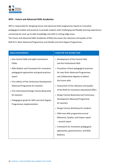

## **WP3 – Future and Advanced Skills Academies**

WP3 is responsible for designing future and advanced skills programmes based on innovative pedagogical models and practices to provide students with challenging and flexible learning experiences containing the most up-to-date knowledge and skills in cutting-edge areas. The Future and Advanced Skills Academies (FASA) also assess the relevance and quality of the RUN-EU's Short Advanced Programmes and Double and Joint Degree Programmes.

| <b>MAIN ACHIEVEMENTS</b>                                                                                                                                                                                                                                                                                 | <b>PLANS FOR THE SECOND YEAR</b>                                                                                                                                                                                                                                                                                                         |
|----------------------------------------------------------------------------------------------------------------------------------------------------------------------------------------------------------------------------------------------------------------------------------------------------------|------------------------------------------------------------------------------------------------------------------------------------------------------------------------------------------------------------------------------------------------------------------------------------------------------------------------------------------|
| • One Central FASA and eight Institutional<br><b>FASAs</b><br>• Skills Bulletin and Framework for innovative<br>pedagogical approaches and good practices<br>report<br>• First edition of the Continuous Development<br>Advanced Programme for teachers<br>• First International Design Factory Bootcamp | • Development of the Central FASA<br>and the Institutional FASA<br>• Promotion of best pedagogical practices<br>for new Short Advanced Programmes<br>and collaborative degrees to deliver<br>the future skills<br>• Assessment of the relevance and quality<br>of the RUN-EU innovative educational offers                               |
| for teachers<br>• Pedagogical guide for SAPs and Joint Degree<br>Programmes implementation.                                                                                                                                                                                                              | • Design Factory Bootcamp and Continuous<br>Development Advanced Programme<br>for teachers<br>• Design Factory Workshop for students<br>• FASA new skills programme annual<br>Relevance, Quality, and Impact report<br>- second report<br>• Framework for innovative pedagogical<br>approaches, good practices, and Skills<br>Bulletins. |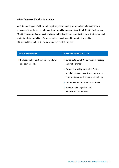#### **WP4 – European Mobility Innovation**

WP4 defines the joint RUN-EU mobility strategy and mobility matrix to facilitate and promote an increase in student, researcher, and staff mobility opportunities within RUN-EU. The European Mobility Innovation Centre has the mission to build and share expertise in innovative international student and staff mobility in European higher education and to monitor the quality of the mobilities enabling the achievement of the defined goals.

| <b>MAIN ACHIEVEMENTS</b>                                          | <b>PLANS FOR THE SECOND YEAR</b>                                                                                                                                                                                                                                                                                   |
|-------------------------------------------------------------------|--------------------------------------------------------------------------------------------------------------------------------------------------------------------------------------------------------------------------------------------------------------------------------------------------------------------|
| • Evaluation of current models of students<br>and staff mobility. | • Consolidate joint RUN-EU mobility strategy<br>and mobility matrix<br>• European Mobility Innovation Centre<br>to build and share expertise on innovation<br>in international student and staff mobility<br>• Student-centred information materials<br>• Promote multilingualism and<br>multiculturalism network. |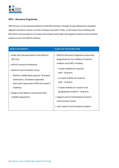

## **WP5 – Discovery Programme**

WP5 focuses on the operationalisation of the RDI activities, through strong collaboration between regional innovation clusters and the European Innovation Hubs. It will create future-looking joint RDI teams and procedures to increase and embed sustainable interregional research and innovation projects across the RUN-EU alliance.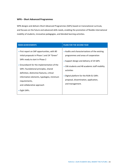#### **WP6 – Short Advanced Programmes**

WP6 designs and delivers Short Advanced Programmes (SAPs) based on transnational curricula, and focuses on the future and advanced skills needs, enabling the promotion of flexible international mobility of students, innovative pedagogies, and blended learning activities.

| <b>MAIN ACHIEVEMENTS</b>                                                                                                                                                                                                                                                                                                                                                                | <b>PLANS FOR THE SECOND YEAR</b>                                                                                                                                                                                                                                                                       |
|-----------------------------------------------------------------------------------------------------------------------------------------------------------------------------------------------------------------------------------------------------------------------------------------------------------------------------------------------------------------------------------------|--------------------------------------------------------------------------------------------------------------------------------------------------------------------------------------------------------------------------------------------------------------------------------------------------------|
| • First report on SAP opportunities, with 80<br>initial proposals in Phase 1 and 24 "Green"<br>SAPs ready to start in Phase 2<br>• Groundwork for the implementation of the<br>SAPs: foundational principles, shared<br>definition, distinctive features, critical<br>information elements, typologies, minimum<br>requirements,<br>and collaborative approach<br>$\bullet$ Eight SAPs. | • Audits and characterisations of the existing<br>programmes and areas of cooperation<br>• Support design and delivery of 24 SAPs<br>• 336 students and 48 academic staff mobility<br>activities<br>• Digital platform for the RUN-EU SAPs<br>proposal, dissemination, application,<br>and management. |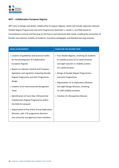

#### **WP7 – Collaborative European Degrees**

WP7 aims to design and deliver collaborative European degrees, which will include regionally relevant Double Degree Programmes and Joint Programmes (bachelor's, master's, and PhD) based on transnational curricula and focusing on the future and advanced skills needs, enabling the promotion of flexible international mobility of students, innovative pedagogies and blended learning activities.

| <b>MAIN ACHIEVEMENTS</b>                                                                                                                                                                                                                                                                                                                                                                                          | <b>PLANS FOR THE SECOND YEAR</b>                                                                                                                                                                                                                                                                                                                                                    |
|-------------------------------------------------------------------------------------------------------------------------------------------------------------------------------------------------------------------------------------------------------------------------------------------------------------------------------------------------------------------------------------------------------------------|-------------------------------------------------------------------------------------------------------------------------------------------------------------------------------------------------------------------------------------------------------------------------------------------------------------------------------------------------------------------------------------|
| • Creation of guidelines and practical toolkit<br>for the development of Collaborative<br><b>European Degrees</b><br>• Report on relevant national and European<br>legislation and regulation impacting Double<br>Degree Programme and Joint Programme<br>design<br>• Creation of an Interuniversity Recognition<br>Team<br>· Identification of more than 250 potential<br>Collaborative Degree Programmes within | • Four double degrees, involving 32 students<br>in mobility actions of 12-week duration<br>and eight teachers in mobility actions<br>of 2-week duration<br>• Design of Double Degree Programmes<br>and Joint Programmes<br>• Organisation of 16 Exploratory Missions<br>and eight Design Missions, involving<br>72 staff mobility activities<br>• Creation of a Recognition Manual. |
| the RUN-EU network<br>• Organisation of five online Group Exploratory                                                                                                                                                                                                                                                                                                                                             |                                                                                                                                                                                                                                                                                                                                                                                     |
| Missions, with 175 programme directors                                                                                                                                                                                                                                                                                                                                                                            |                                                                                                                                                                                                                                                                                                                                                                                     |
| and university management team members.                                                                                                                                                                                                                                                                                                                                                                           |                                                                                                                                                                                                                                                                                                                                                                                     |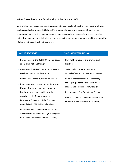#### **WP8 – Dissemination and Sustainability of the Future RUN-EU**

WP8 implements the communication, dissemination and exploitation strategies linked to all work packages, reflected in the establishment/promotion of a sound and consistent brand, in the creation/animation of the communication channels (particularly the website and social media), in the development and distribution of several attractive promotional materials and the organisation of dissemination and exploitation events.

| <b>MAIN ACHIEVEMENTS</b>                                                                                                                                                                                                                                                                                                                                                                                                                                         | <b>PLANS FOR THE SECOND YEAR</b>                                                                                                                                                                                                                                                                                                                                                                        |
|------------------------------------------------------------------------------------------------------------------------------------------------------------------------------------------------------------------------------------------------------------------------------------------------------------------------------------------------------------------------------------------------------------------------------------------------------------------|---------------------------------------------------------------------------------------------------------------------------------------------------------------------------------------------------------------------------------------------------------------------------------------------------------------------------------------------------------------------------------------------------------|
| • Development of the RUN-EU Communication<br>and Dissemination Strategy<br>• Creation of the RUN-EU website, Instagram,<br>Facebook, Twitter, and LinkedIn<br>• Development of the RUN-EU Brand Book<br>Dissemination of the conference 'European<br>Universities: pioneering transformation<br>in education, research and innovation',<br>organised in the framework of the<br>Portuguese Presidency of the European<br>Council (April 2021, Leiria and online) | • New RUN-EU website and promotional<br>brochure<br>· Social media channels, newsletter,<br>online leaflets, and regular press releases<br>• Raise awareness for the alliance among<br>the target groups and enhance RUN-EU<br>internal and external communication<br>• Development of an Exploitation Strategy<br>• RUN-EU events, including the second RUN-EU<br>Students' Week (October 2022, HAMK). |
| • Dissemination of the first RUN-EU General<br>Assembly and Students Week (including four<br>SAPs with 94 students and nine teachers).                                                                                                                                                                                                                                                                                                                           |                                                                                                                                                                                                                                                                                                                                                                                                         |